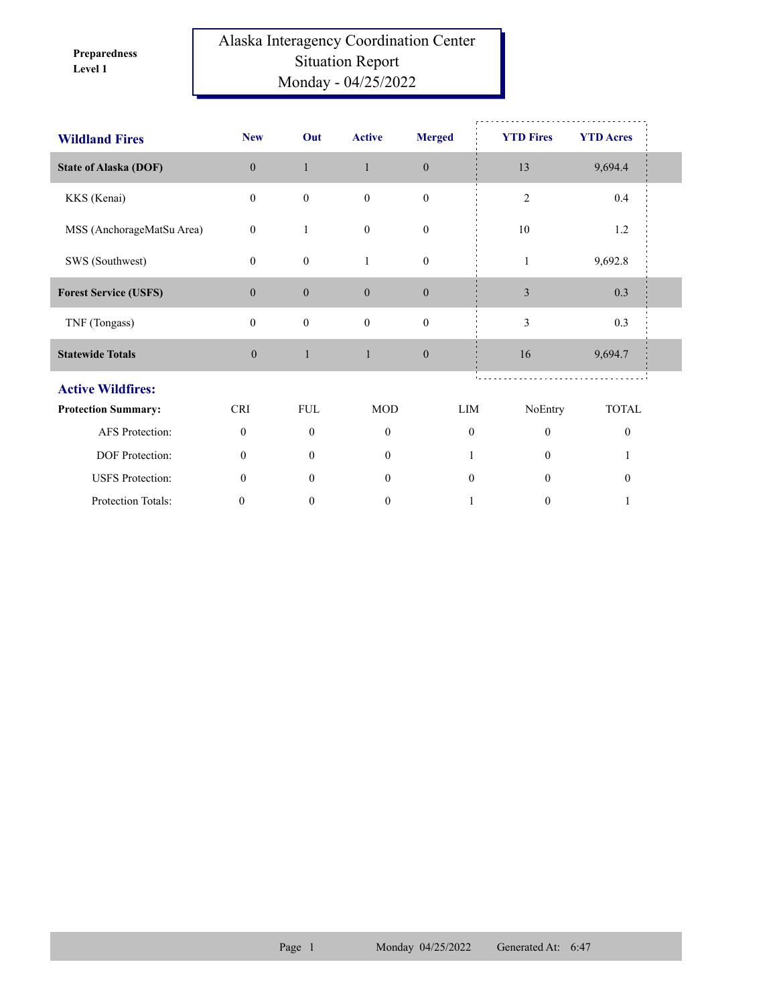**Level 1 Preparedness** 

## Alaska Interagency Coordination Center Situation Report Monday - 04/25/2022

| <b>Wildland Fires</b>        | <b>New</b>       | Out              | <b>Active</b>    | <b>Merged</b>    | <b>YTD Fires</b> | <b>YTD Acres</b> |  |
|------------------------------|------------------|------------------|------------------|------------------|------------------|------------------|--|
| <b>State of Alaska (DOF)</b> | $\overline{0}$   | $\mathbf{1}$     | $\mathbf{1}$     | $\boldsymbol{0}$ | 13               | 9,694.4          |  |
| KKS (Kenai)                  | $\boldsymbol{0}$ | $\boldsymbol{0}$ | $\boldsymbol{0}$ | $\boldsymbol{0}$ | $\mathfrak{2}$   | 0.4              |  |
| MSS (AnchorageMatSu Area)    | $\mathbf{0}$     | 1                | $\mathbf{0}$     | $\boldsymbol{0}$ | 10               | 1.2              |  |
| SWS (Southwest)              | $\mathbf{0}$     | $\boldsymbol{0}$ | 1                | $\boldsymbol{0}$ | $\mathbf{1}$     | 9,692.8          |  |
| <b>Forest Service (USFS)</b> | $\overline{0}$   | $\boldsymbol{0}$ | $\mathbf{0}$     | $\mathbf{0}$     | $\mathfrak{Z}$   | 0.3              |  |
| TNF (Tongass)                | $\mathbf{0}$     | $\boldsymbol{0}$ | $\mathbf{0}$     | $\boldsymbol{0}$ | 3                | 0.3              |  |
| <b>Statewide Totals</b>      | $\mathbf{0}$     | $\mathbf{1}$     | $\mathbf{1}$     | $\mathbf{0}$     | 16               | 9,694.7          |  |
| <b>Active Wildfires:</b>     |                  |                  |                  |                  |                  |                  |  |
| <b>Protection Summary:</b>   | <b>CRI</b>       | <b>FUL</b>       | <b>MOD</b>       | LIM              | NoEntry          | <b>TOTAL</b>     |  |
| AFS Protection:              | $\mathbf{0}$     | $\mathbf{0}$     | $\theta$         | $\theta$         | $\theta$         | $\boldsymbol{0}$ |  |
| DOF Protection:              | $\theta$         | $\theta$         | $\theta$         |                  | $\theta$         |                  |  |
| <b>USFS</b> Protection:      | $\mathbf{0}$     | $\theta$         | $\mathbf{0}$     | $\mathbf{0}$     | $\theta$         | $\boldsymbol{0}$ |  |
| Protection Totals:           | 0                | $\boldsymbol{0}$ | $\boldsymbol{0}$ |                  | $\boldsymbol{0}$ |                  |  |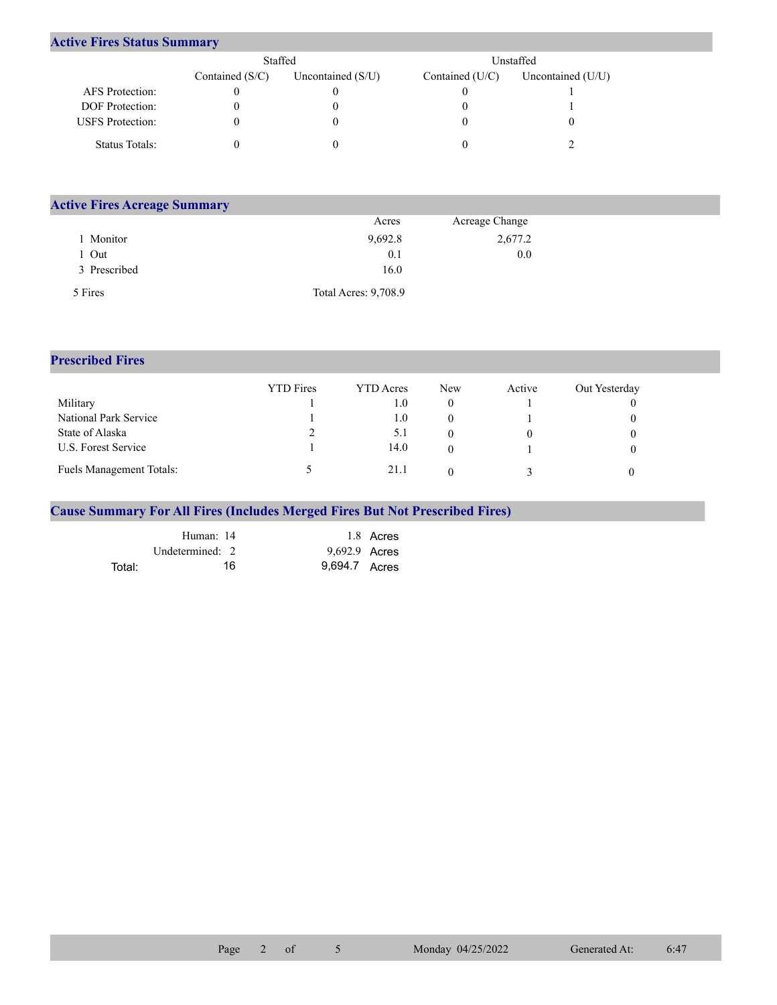## **Active Fires Status Summary**

|                         | Staffed           |                     |                 | Unstaffed           |
|-------------------------|-------------------|---------------------|-----------------|---------------------|
|                         | Contained $(S/C)$ | Uncontained $(S/U)$ | Contained (U/C) | Uncontained $(U/U)$ |
| AFS Protection:         |                   |                     |                 |                     |
| <b>DOF</b> Protection:  |                   |                     |                 |                     |
| <b>USFS</b> Protection: |                   |                     |                 |                     |
| Status Totals:          |                   |                     |                 |                     |

| <b>Active Fires Acreage Summary</b> |                      |                |  |
|-------------------------------------|----------------------|----------------|--|
|                                     | Acres                | Acreage Change |  |
| Monitor                             | 9,692.8              | 2,677.2        |  |
| Out                                 | 0.1                  | 0.0            |  |
| 3 Prescribed                        | 16.0                 |                |  |
| 5 Fires                             | Total Acres: 9,708.9 |                |  |

## **Prescribed Fires**

|                                 | <b>YTD</b> Fires | <b>YTD</b> Acres | New | Active | Out Yesterday |
|---------------------------------|------------------|------------------|-----|--------|---------------|
| Military                        |                  | 1.0              |     |        |               |
| National Park Service           |                  | 0.1              |     |        |               |
| State of Alaska                 |                  | 5.1              |     |        |               |
| U.S. Forest Service             |                  | 14.0             |     |        |               |
| <b>Fuels Management Totals:</b> |                  | 21.1             |     |        |               |

## **Cause Summary For All Fires (Includes Merged Fires But Not Prescribed Fires)**

|        | Human: 14         | 1.8 Acres     |
|--------|-------------------|---------------|
|        | Undetermined: $2$ | 9,692.9 Acres |
| Total: | 16                | 9.694.7 Acres |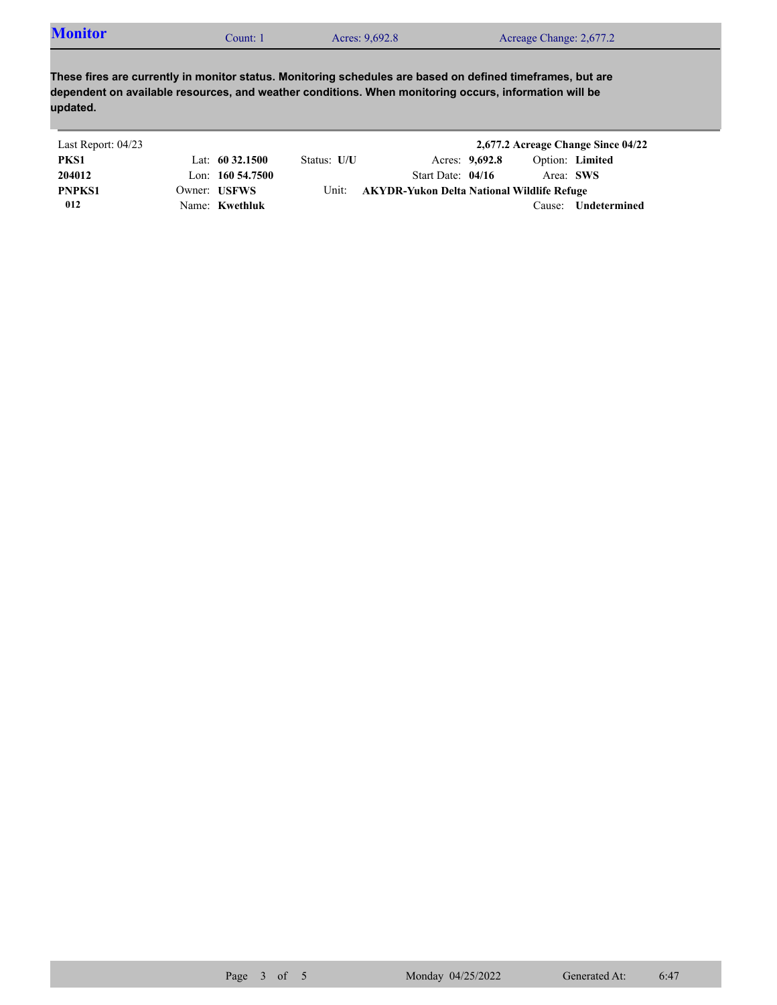| <b>Monitor</b><br>Acres: 9,692.8<br>Acreage Change: 2,677.2<br>Count: 1 |  |
|-------------------------------------------------------------------------|--|
|-------------------------------------------------------------------------|--|

**These fires are currently in monitor status. Monitoring schedules are based on defined timeframes, but are dependent on available resources, and weather conditions. When monitoring occurs, information will be updated.**

| Last Report: 04/23 |                     |             |                                            |                |        | 2,677.2 Acreage Change Since 04/22 |
|--------------------|---------------------|-------------|--------------------------------------------|----------------|--------|------------------------------------|
| PKS1               | Lat: $60\,32.1500$  | Status: U/U |                                            | Acres: 9,692.8 |        | Option: Limited                    |
| 204012             | Lon: $160\,54.7500$ |             | Start Date: $04/16$                        |                |        | Area: SWS                          |
| <b>PNPKS1</b>      | Owner: USFWS        | Unit:       | AKYDR-Yukon Delta National Wildlife Refuge |                |        |                                    |
| 012                | Name: Kwethluk      |             |                                            |                | Cause: | Undetermined                       |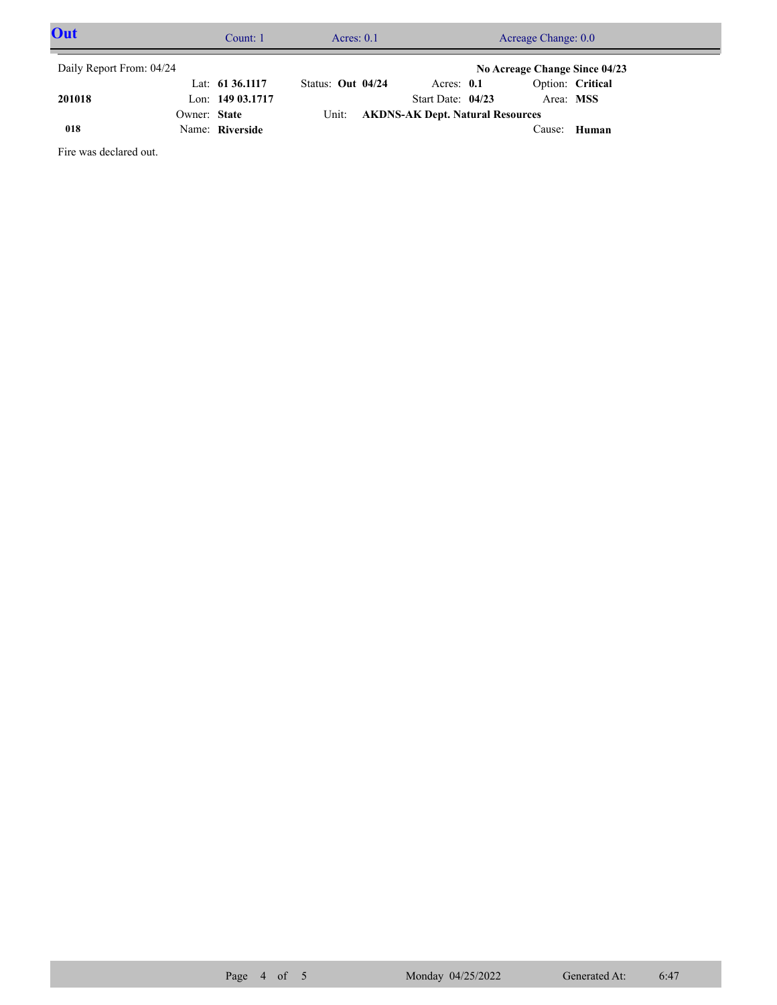| Out                      |              | Count: 1           |                   | Acres: $0.1$ |                                         | Acreage Change: 0.0           |                  |  |
|--------------------------|--------------|--------------------|-------------------|--------------|-----------------------------------------|-------------------------------|------------------|--|
| Daily Report From: 04/24 |              |                    |                   |              |                                         | No Acreage Change Since 04/23 |                  |  |
|                          |              | Lat: $61\,36.1117$ | Status: Out 04/24 |              | Acres: $0.1$                            |                               | Option: Critical |  |
| 201018                   |              | Lon: 149 03.1717   |                   |              | Start Date: $04/23$                     | Area: MSS                     |                  |  |
|                          | Owner: State |                    | Unit:             |              | <b>AKDNS-AK Dept. Natural Resources</b> |                               |                  |  |
| 018                      |              | Name: Riverside    |                   |              |                                         | Cause:                        | Human            |  |

Fire was declared out.